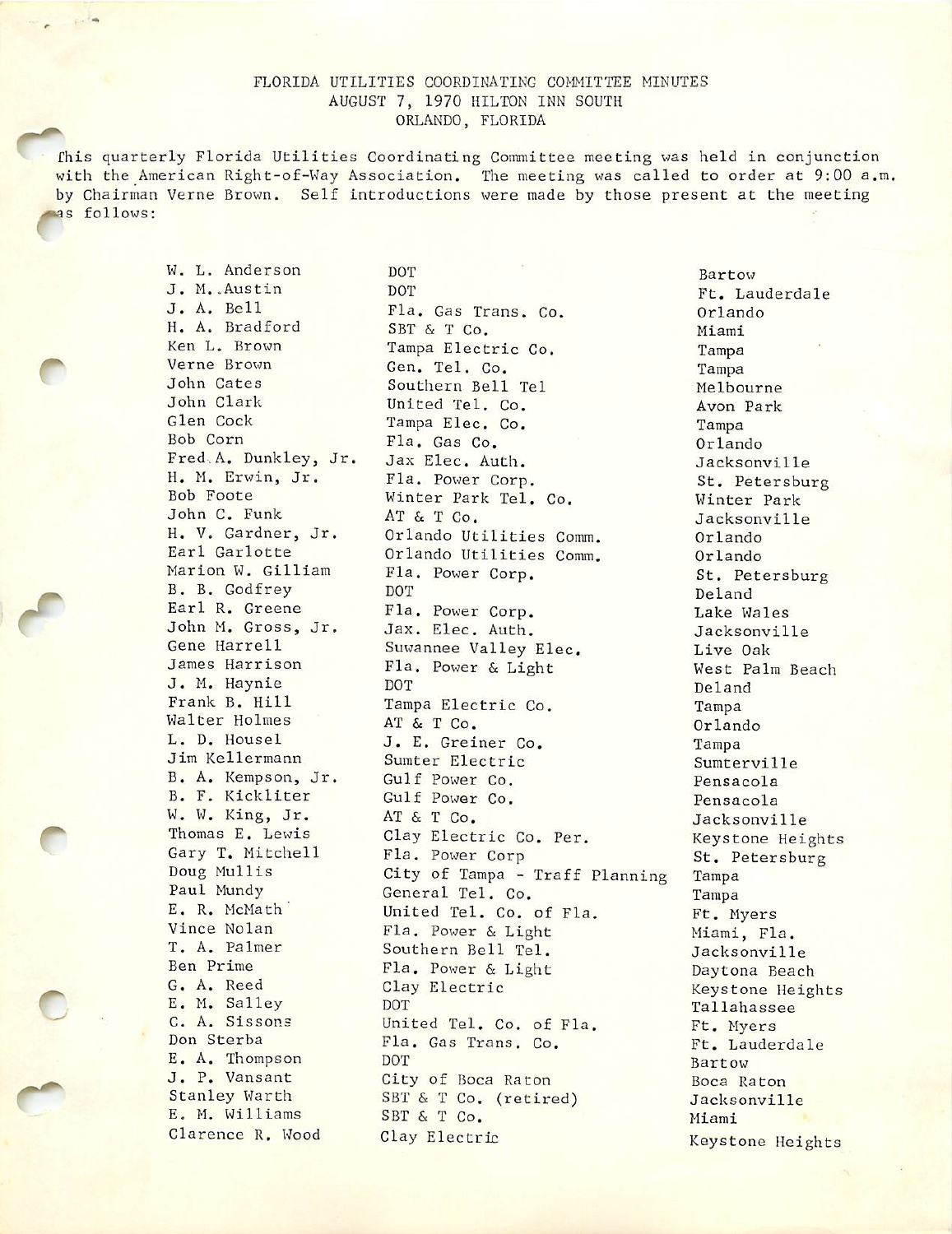## FLORIDA UTILITIES COORDINATING COMMITTEE MINUTES AUGUST 7, 1970 HILTON INN SOUTH ORLANDO, FLORIDA

r s follows: This quarterly Florida Utilities Coordinating Committee meeting was held in conjunction with the American Right-of-Way Association, The meeting was called to order at 9:00 a.m. by Chairman Verne Brown. Self introductions were made by those present at the meeting

W. L. Anderson DOT Bartow<br>J. M. Austin DOT Ft Law

r

J. M. Austin DOT Ft. Lauderdale<br>
J. A. Bell Fla. Gas Trans. Co. A. Orlando Fla. Gas Trans. Co. 612 0rlando H. A. Bradford SBT & T Co. Miami Nen L. Brown Tampa Electric Co. Miami Ken L. Brown Tampa Electric Co. Tampa<br>Verne Brown Gen Tel Co. Tampa Tampa Verne Brown Gen. Tel. Co. Tampa<br>John Cates Southern Bell Tel Melbo John Cates Southern Bell Tel Melbourne<br>
Melbourne<br>
Mark Mon Bark (Inited Tel Co John Clark United Tel. Co.<br>
Glen Cock Tampa Elec Co. Tampa Tampa Glen Cock Tampa Elec. Co. Tampa Bob Corn<br>Bob Corn Fla. Gas Co. Co. Orlan Bob Corn Fla. Gas Co. Orlando Fred.A. Dunkley, Jr. Jax Elec. Auth. Jacksonville<br>H. M. Erwin, Jr. Fla. Power Corp. 55 Petersburg H. M. Erwin, Jr. Fla. Power Corp. St. Petersburg Winter Park Tel. Co.<br>AT & T Co. Macksonville John C. Funk AT & T Co. Jacksonville<br>
H. V. Gardner, Jr. Orlando Utilities Comm. Orlando H. V. Gardner, Jr. Orlando Utilities Comm. Orlando<br>Earl Garlotte Orlando Utilities Comm Orlando Earl Garlotte Orlando Utilities Comm. Orlando Fla. Power Corp. St. Petersburg<br>
DOT Deland B. B. Godfrey DOT Deland<br>
Earl R. Greene Fla. Power Corp. Survey Lake Wa Fla. Power Corp.<br>
Jax. Elec. Auth. Jacksonvil John M. Gross, Jr. Jax. Elec. Auth. Jacksonville<br>Gene Harrell Suwannee Valley Flec Jive Oak Gene Harrell Suwannee Valley Elec. Live Oak<br>James Harrison Fla. Power & Light Nest Palm Beach Fla. Power & Light<br>DOT J. M. Haynie DOT Deland Tampa Electric Co. Tampa<br>AT & T Co. Co. Coland Walter Holmes AT & T Co. Criando<br>
L. D. Housel J. E. Greiner Co. Tampa J. E. Greiner Co. Tampa Jim Kellermann Sumter Electric Sumterville<br>
B. A. Kempson, Jr. Gulf Power Co. Pensacola B. A. Kempson, Jr. Gulf Power Co. B. Pensacola<br>B. F. Kickliter Gulf Power Co. Pensacola Gulf Power Co.<br>AT & T Co. Stacksonvi W. W. King, Jr. AT & T Co. Jacksonville<br>Thomas E. Lewis Clay Electric Co. Per Revstope Heid Thomas E. Lewis Clay Electric Co. Per. Keystone Heights<br>Gary T. Mitchell Fla. Power Corp St. Petersburg Gary T. Mitchell Fla. Power Corp St. Petersburg<br>Doug Mullis City of Tampa - Traff Planning Tampa Doug Mullis City of Tampa - Traff Planning Tampa Paul Mundy (Eneral Tel. Co. Tampa<br>E.R. McMath (United Tel. Co. of Fla The Terminal E. R. McMath (United Tel. Co. of Fla. (E. Myers)<br>Vince Nolan (Fla. Power & Light (Miami El Vince Nolan Fla. Power & Light Miami, Fla.<br>T. A. Palmer Southern Bell Tel Mani, Fla. T. A. Palmer Southern Bell Tel. Jacksonville<br>
Ben Prime Flag Power & Light Dayton, Boach Ben Prime Fla. Power & Light Daytona Beach<br>
G. A. Reed Clay Electric Contract Reystone Heigh Clay Electric Clay Keystone Heights<br>DOT Tallahassee E. M. Salley DOT DOT Tallahassee<br>
C. A. Sissons United Tel. Co. of Fla. Ft Myers C. A. Sissons United Tel. Co. of Fla. Ft. Myers<br>Don Sterba Fla. Gas Trans. Co. Ft. Laude Fla. Gas Trans. Co. Ft. Lauderdale E. A. Thompson DOT Bartow Bartow Bartow Bartow Bartow Bartow Bartow Bartow Bartow Bartow Bartow Bartow Bartow Bartow Bartow Bartow Bartow Bartow Bartow Bartow Bartow Bartow Bartow Bartow Bartow Bartow Bartow Bartow Bartow J. P. Vansant City of Boca Raton Boca Raton Boca Raton Boca Raton Boca Raton Boca Raton City of Boca Raton Boca Raton Boca Raton Boca Raton Boca Raton Boca Raton Boca Raton Boca Raton Boca Raton Boca Raton Boca Raton Boca SBT & T Co. (retired) Jacksonville<br>SBT & T Co. Miami E. M. Williams SBT & T Co. Miami Clarence R. Wood Clay Electric Wound Clay Electric Keystone Heights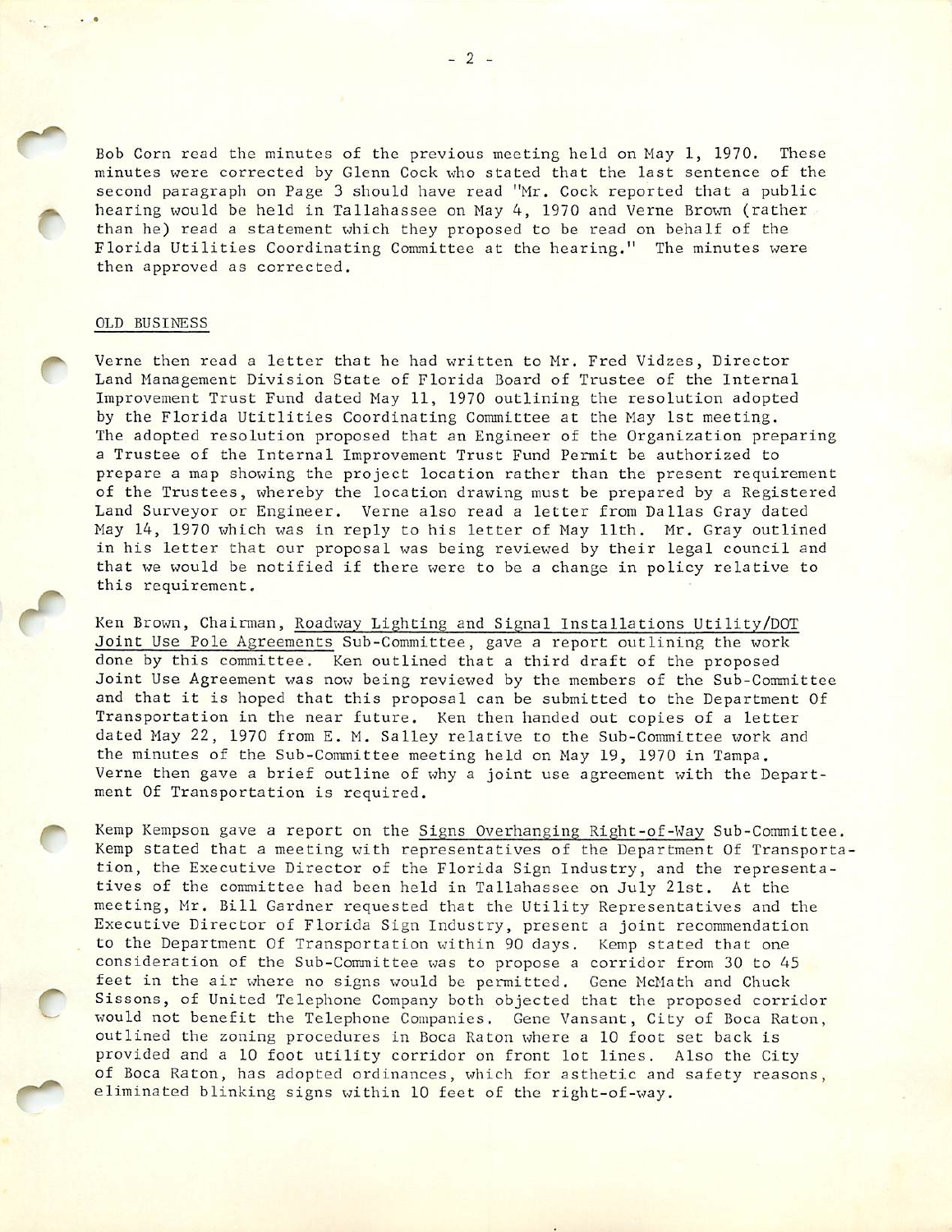Bob Corn read the minutes of the previous meeting held on May 1, 1970. These minutes were corrected by Glenn Cock who stated that the last sentence of the second paragraph on Page 3 should have read "Mr. Cock reported that a public hearing would be held in Tallahassee on May 4, 1970 and Verne Brown (rather than he) read a statement which they proposed to be read on behalf of the Florida Utilities Coordinating Committee at the hearing." The minutes were then approved as corrected.

## OLD BUSINESS

C

Verne then read a letter that he had written to Mr. Fred Vidzes, Director Land Management Division State of Florida Board of Trustee of the Internal Improvement Trust Fund dated May 11, 1970 outlining the resolution adopted by the Florida Utitlities Coordinating Committee at the May 1st meeting. The adopted resolution proposed that an Engineer of the Organization preparing a Trustee of the Internal Improvement Trust Fund Permit be authorized to prepare a map showing the project location rather than the present requirement of the Trustees, whereby the location drawing must be prepared by a Registered Land Surveyor or Engineer. Verne also read a letter from Dallas Gray dated May 14, 1970 which was in reply to his letter of May 11th. Mr. Gray outlined in his letter that our proposal was being reviewed by their legal council and that we would be notified if there were to be a change in policy relative to this requirement.

Ken Brown, Chairman, Roadway Lighting and Signal Installations Utility/DOT Joint Use Pole Agreements Sub-Committee, gave a report outlining the work done by this committee. Ken outlined that a third draft of the proposed Joint Use Agreement was now being reviewed by the members of the Sub-Committee and that it is hoped that this proposal can be submitted to the Department Of Transportation in the near future. Ken then handed out copies of a letter dated May 22, 1970 from E. M. Salley relative to the Sub-Committee work and the minutes of the Sub-Committee meeting held on May 19, 1970 in Tampa. Verne then gave a brief outline of why a joint use agreement with the Depart ment Of Transportation is required.

Kemp Kempson gave a report on the Signs Overhanging Right-of-Way Sub-Committee. Kemp stated that a meeting with representatives of the Department Of Transporta tion, the Executive Director of the Florida Sign Industry, and the representa tives of the committee had been held in Tallahassee on July 2ist. At the meeting, Mr. Bill Gardner requested that the Utility Representatives and the Executive Director of Florida Sign Industry, present a joint recommendation to the Department Of Transportation within 90 days. Kemp stated that one consideration of the Sub-Committee was to propose a corridor from 30 to 45 feet in the air where no signs would be permitted. Gene McMath and Chuck consideration of the Sub-Committee was to propose a corridor from 30 to 45<br>feet in the air where no signs would be permitted. Gene McMath and Chuck<br>Sissons, of United Telephone Company both objected that the proposed corri Sissons, of United Telephone Company both objected that the proposed corridor would not benefit the Telephone Companies. Gene Vansant, City of Boca Raton, outlined the zoning procedures in Boca Raton where a 10 foot set back is provided and a 10 foot utility corridor on front lot lines. Also the City of Boca Raton, has adopted ordinances, which for esthetic and safety reasons, eliminated blinking signs within 10 feet of the right-of-way.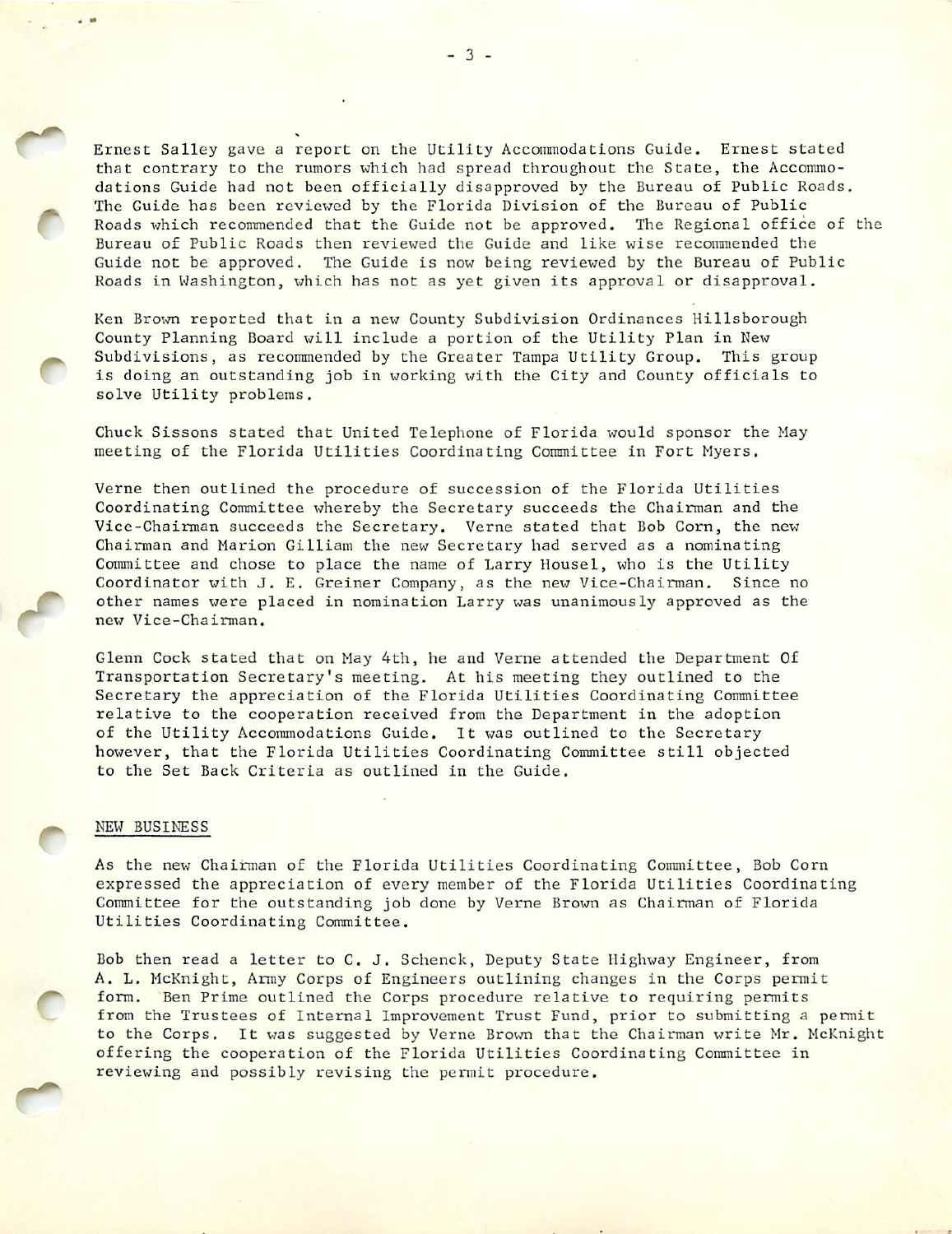Ernest Salley gave a report on the Utility Accommodations Guide. Ernest stated that contrary to the rumors which had spread throughout the State, the Accommo dations Guide had not been officially disapproved by the Bureau of Public Roads. The Guide has been reviewed by the Florida Division of the Bureau of Public Roads which recommended that the Guide not be approved. The Regional office of the Bureau of Public Roads then reviewed the Guide and like wise recommended the Guide not be approved. The Guide is now being reviewed by the Bureau of Public Roads in Washington, which has not as yet given its approval or disapproval.

Ken Brown reported that in a new County Subdivision Ordinances Hillsborough County Planning Board will include a portion of the Utility Plan in New Subdivisions, as recommended by the Greater Tampa Utility Group. This group is doing an outstanding job in working with the City and County officials to solve Utility problems.

Chuck Sissons stated that United Telephone of Florida would sponsor the May meeting of the Florida Utilities Coordinating Committee in Fort Myers.

Verne then outlined the procedure of succession of the Florida Utilities Coordinating Committee whereby the Secretary succeeds the Chairman and the Vice-chairman succeeds the Secretary. Verne stated that Bob Corn, the new Chairman and Marion Gilliam the new Secretary had served as a nominating Committee and chose to place the name of Larry Housel, who is the Utility Coordinator with J. E. Greiner Company, as the new Vice-Chairman. Since no other names were placed in nomination Larry was unanimously approved as the new Vice-chairman.

Glenn Cock stated that on May 4th, he and Verne attended the Department Of Transportation Secretary's meeting. At his meeting they outlined to the Secretary the appreciation of the Florida Utilities Coordinating Committee relative to the cooperation received from the Department in the adoption of the Utility Accommodations Guide. It was outlined to the Secretary however, that the Florida Utilities Coordinating Committee still objected to the Set Back Criteria as outlined in the Guide.

## NEW BUSINESS

As the new Chairman of the Florida Utilities Coordinating Committee, Bob Com expressed the appreciation of every member of the Florida Utilities Coordinating Committee for the outstanding job done by Verne Brown as Chairman of Florida Utilities Coordinating Committee.

Bob then read a letter to C. J. Schenck, Deputy State Highway Engineer, from A. L. Mcknight, Army Corps of Engineers outlining changes in the Corps permit form. Ben Prime outlined the Corps procedure relative to requiring permits from the Trustees of Internal Improvement Trust Fund, prior to submitting a permit to the Corps. It was suggested by Verne Brown that the Chairman write Mr. Mcknight offering the cooperation of the Florida Utilities Coordinating Committee in reviewing and possibly revising the permit procedure.